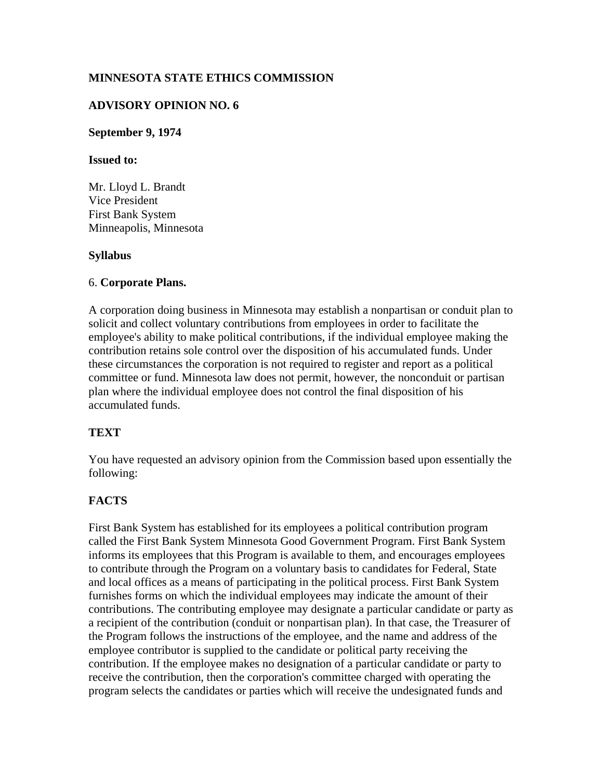## **MINNESOTA STATE ETHICS COMMISSION**

## **ADVISORY OPINION NO. 6**

#### **September 9, 1974**

#### **Issued to:**

Mr. Lloyd L. Brandt Vice President First Bank System Minneapolis, Minnesota

#### **Syllabus**

#### 6. **Corporate Plans.**

A corporation doing business in Minnesota may establish a nonpartisan or conduit plan to solicit and collect voluntary contributions from employees in order to facilitate the employee's ability to make political contributions, if the individual employee making the contribution retains sole control over the disposition of his accumulated funds. Under these circumstances the corporation is not required to register and report as a political committee or fund. Minnesota law does not permit, however, the nonconduit or partisan plan where the individual employee does not control the final disposition of his accumulated funds.

## **TEXT**

You have requested an advisory opinion from the Commission based upon essentially the following:

# **FACTS**

First Bank System has established for its employees a political contribution program called the First Bank System Minnesota Good Government Program. First Bank System informs its employees that this Program is available to them, and encourages employees to contribute through the Program on a voluntary basis to candidates for Federal, State and local offices as a means of participating in the political process. First Bank System furnishes forms on which the individual employees may indicate the amount of their contributions. The contributing employee may designate a particular candidate or party as a recipient of the contribution (conduit or nonpartisan plan). In that case, the Treasurer of the Program follows the instructions of the employee, and the name and address of the employee contributor is supplied to the candidate or political party receiving the contribution. If the employee makes no designation of a particular candidate or party to receive the contribution, then the corporation's committee charged with operating the program selects the candidates or parties which will receive the undesignated funds and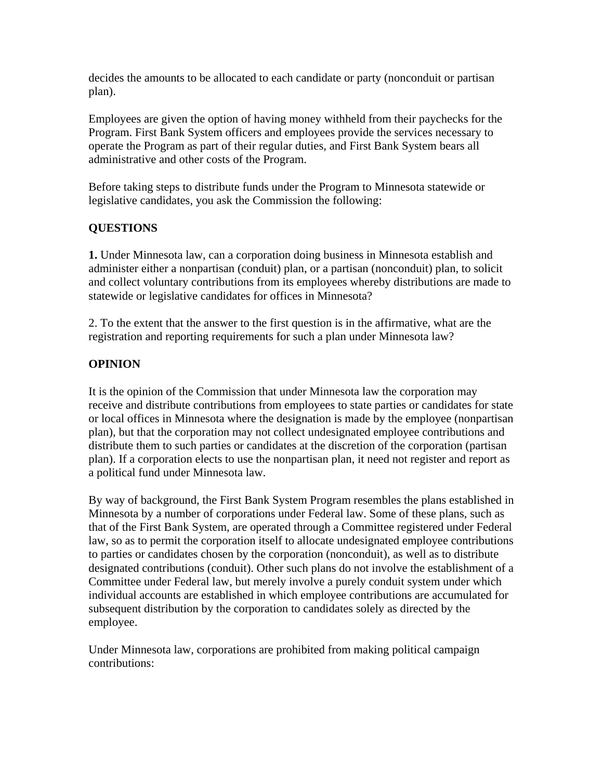decides the amounts to be allocated to each candidate or party (nonconduit or partisan plan).

Employees are given the option of having money withheld from their paychecks for the Program. First Bank System officers and employees provide the services necessary to operate the Program as part of their regular duties, and First Bank System bears all administrative and other costs of the Program.

Before taking steps to distribute funds under the Program to Minnesota statewide or legislative candidates, you ask the Commission the following:

# **QUESTIONS**

**1.** Under Minnesota law, can a corporation doing business in Minnesota establish and administer either a nonpartisan (conduit) plan, or a partisan (nonconduit) plan, to solicit and collect voluntary contributions from its employees whereby distributions are made to statewide or legislative candidates for offices in Minnesota?

2. To the extent that the answer to the first question is in the affirmative, what are the registration and reporting requirements for such a plan under Minnesota law?

## **OPINION**

It is the opinion of the Commission that under Minnesota law the corporation may receive and distribute contributions from employees to state parties or candidates for state or local offices in Minnesota where the designation is made by the employee (nonpartisan plan), but that the corporation may not collect undesignated employee contributions and distribute them to such parties or candidates at the discretion of the corporation (partisan plan). If a corporation elects to use the nonpartisan plan, it need not register and report as a political fund under Minnesota law.

By way of background, the First Bank System Program resembles the plans established in Minnesota by a number of corporations under Federal law. Some of these plans, such as that of the First Bank System, are operated through a Committee registered under Federal law, so as to permit the corporation itself to allocate undesignated employee contributions to parties or candidates chosen by the corporation (nonconduit), as well as to distribute designated contributions (conduit). Other such plans do not involve the establishment of a Committee under Federal law, but merely involve a purely conduit system under which individual accounts are established in which employee contributions are accumulated for subsequent distribution by the corporation to candidates solely as directed by the employee.

Under Minnesota law, corporations are prohibited from making political campaign contributions: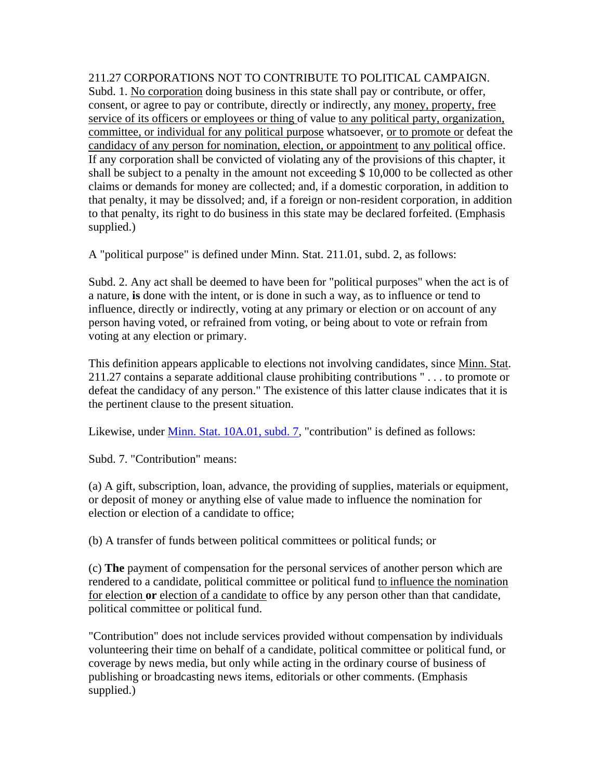211.27 CORPORATIONS NOT TO CONTRIBUTE TO POLITICAL CAMPAIGN. Subd. 1. No corporation doing business in this state shall pay or contribute, or offer, consent, or agree to pay or contribute, directly or indirectly, any money, property, free service of its officers or employees or thing of value to any political party, organization, committee, or individual for any political purpose whatsoever, or to promote or defeat the candidacy of any person for nomination, election, or appointment to any political office. If any corporation shall be convicted of violating any of the provisions of this chapter, it shall be subject to a penalty in the amount not exceeding \$ 10,000 to be collected as other claims or demands for money are collected; and, if a domestic corporation, in addition to that penalty, it may be dissolved; and, if a foreign or non-resident corporation, in addition to that penalty, its right to do business in this state may be declared forfeited. (Emphasis supplied.)

A "political purpose" is defined under Minn. Stat. 211.01, subd. 2, as follows:

Subd. 2. Any act shall be deemed to have been for "political purposes" when the act is of a nature, **is** done with the intent, or is done in such a way, as to influence or tend to influence, directly or indirectly, voting at any primary or election or on account of any person having voted, or refrained from voting, or being about to vote or refrain from voting at any election or primary.

This definition appears applicable to elections not involving candidates, since Minn. Stat. 211.27 contains a separate additional clause prohibiting contributions " . . . to promote or defeat the candidacy of any person." The existence of this latter clause indicates that it is the pertinent clause to the present situation.

Likewise, under Minn. Stat. 10A.01, subd. 7, "contribution" is defined as follows:

Subd. 7. "Contribution" means:

(a) A gift, subscription, loan, advance, the providing of supplies, materials or equipment, or deposit of money or anything else of value made to influence the nomination for election or election of a candidate to office;

(b) A transfer of funds between political committees or political funds; or

(c) **The** payment of compensation for the personal services of another person which are rendered to a candidate, political committee or political fund to influence the nomination for election **or** election of a candidate to office by any person other than that candidate, political committee or political fund.

"Contribution" does not include services provided without compensation by individuals volunteering their time on behalf of a candidate, political committee or political fund, or coverage by news media, but only while acting in the ordinary course of business of publishing or broadcasting news items, editorials or other comments. (Emphasis supplied.)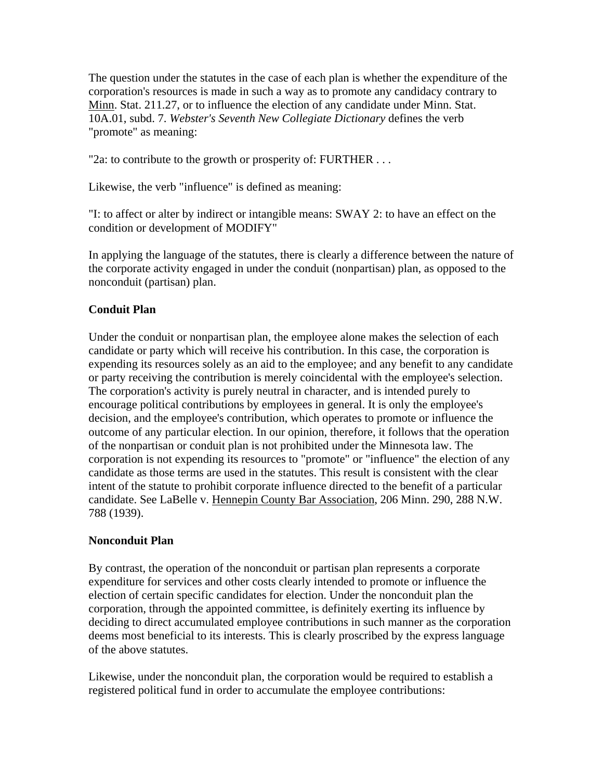The question under the statutes in the case of each plan is whether the expenditure of the corporation's resources is made in such a way as to promote any candidacy contrary to Minn. Stat. 211.27, or to influence the election of any candidate under Minn. Stat. 10A.01, subd. 7. *Webster's Seventh New Collegiate Dictionary* defines the verb "promote" as meaning:

"2a: to contribute to the growth or prosperity of: FURTHER . . .

Likewise, the verb "influence" is defined as meaning:

"I: to affect or alter by indirect or intangible means: SWAY 2: to have an effect on the condition or development of MODIFY"

In applying the language of the statutes, there is clearly a difference between the nature of the corporate activity engaged in under the conduit (nonpartisan) plan, as opposed to the nonconduit (partisan) plan.

## **Conduit Plan**

Under the conduit or nonpartisan plan, the employee alone makes the selection of each candidate or party which will receive his contribution. In this case, the corporation is expending its resources solely as an aid to the employee; and any benefit to any candidate or party receiving the contribution is merely coincidental with the employee's selection. The corporation's activity is purely neutral in character, and is intended purely to encourage political contributions by employees in general. It is only the employee's decision, and the employee's contribution, which operates to promote or influence the outcome of any particular election. In our opinion, therefore, it follows that the operation of the nonpartisan or conduit plan is not prohibited under the Minnesota law. The corporation is not expending its resources to "promote" or "influence" the election of any candidate as those terms are used in the statutes. This result is consistent with the clear intent of the statute to prohibit corporate influence directed to the benefit of a particular candidate. See LaBelle v. Hennepin County Bar Association, 206 Minn. 290, 288 N.W. 788 (1939).

## **Nonconduit Plan**

By contrast, the operation of the nonconduit or partisan plan represents a corporate expenditure for services and other costs clearly intended to promote or influence the election of certain specific candidates for election. Under the nonconduit plan the corporation, through the appointed committee, is definitely exerting its influence by deciding to direct accumulated employee contributions in such manner as the corporation deems most beneficial to its interests. This is clearly proscribed by the express language of the above statutes.

Likewise, under the nonconduit plan, the corporation would be required to establish a registered political fund in order to accumulate the employee contributions: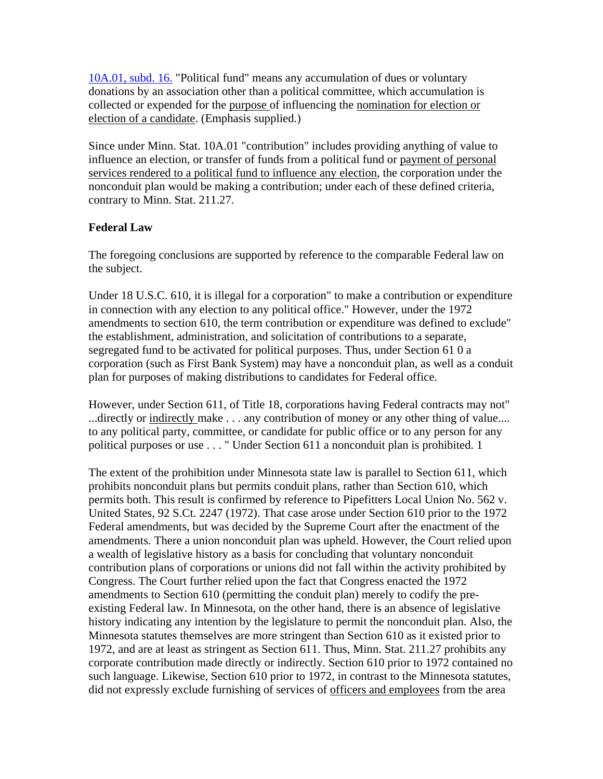10A.01, subd. 16. "Political fund" means any accumulation of dues or voluntary donations by an association other than a political committee, which accumulation is collected or expended for the purpose of influencing the nomination for election or election of a candidate. (Emphasis supplied.)

Since under Minn. Stat. 10A.01 "contribution" includes providing anything of value to influence an election, or transfer of funds from a political fund or payment of personal services rendered to a political fund to influence any election, the corporation under the nonconduit plan would be making a contribution; under each of these defined criteria, contrary to Minn. Stat. 211.27.

## **Federal Law**

The foregoing conclusions are supported by reference to the comparable Federal law on the subject.

Under 18 U.S.C. 610, it is illegal for a corporation" to make a contribution or expenditure in connection with any election to any political office." However, under the 1972 amendments to section 610, the term contribution or expenditure was defined to exclude" the establishment, administration, and solicitation of contributions to a separate, segregated fund to be activated for political purposes. Thus, under Section 61 0 a corporation (such as First Bank System) may have a nonconduit plan, as well as a conduit plan for purposes of making distributions to candidates for Federal office.

However, under Section 611, of Title 18, corporations having Federal contracts may not" ...directly or indirectly make . . . any contribution of money or any other thing of value.... to any political party, committee, or candidate for public office or to any person for any political purposes or use . . . " Under Section 611 a nonconduit plan is prohibited. 1

The extent of the prohibition under Minnesota state law is parallel to Section 611, which prohibits nonconduit plans but permits conduit plans, rather than Section 610, which permits both. This result is confirmed by reference to Pipefitters Local Union No. 562 v. United States, 92 S.Ct. 2247 (1972). That case arose under Section 610 prior to the 1972 Federal amendments, but was decided by the Supreme Court after the enactment of the amendments. There a union nonconduit plan was upheld. However, the Court relied upon a wealth of legislative history as a basis for concluding that voluntary nonconduit contribution plans of corporations or unions did not fall within the activity prohibited by Congress. The Court further relied upon the fact that Congress enacted the 1972 amendments to Section 610 (permitting the conduit plan) merely to codify the preexisting Federal law. In Minnesota, on the other hand, there is an absence of legislative history indicating any intention by the legislature to permit the nonconduit plan. Also, the Minnesota statutes themselves are more stringent than Section 610 as it existed prior to 1972, and are at least as stringent as Section 611. Thus, Minn. Stat. 211.27 prohibits any corporate contribution made directly or indirectly. Section 610 prior to 1972 contained no such language. Likewise, Section 610 prior to 1972, in contrast to the Minnesota statutes, did not expressly exclude furnishing of services of officers and employees from the area